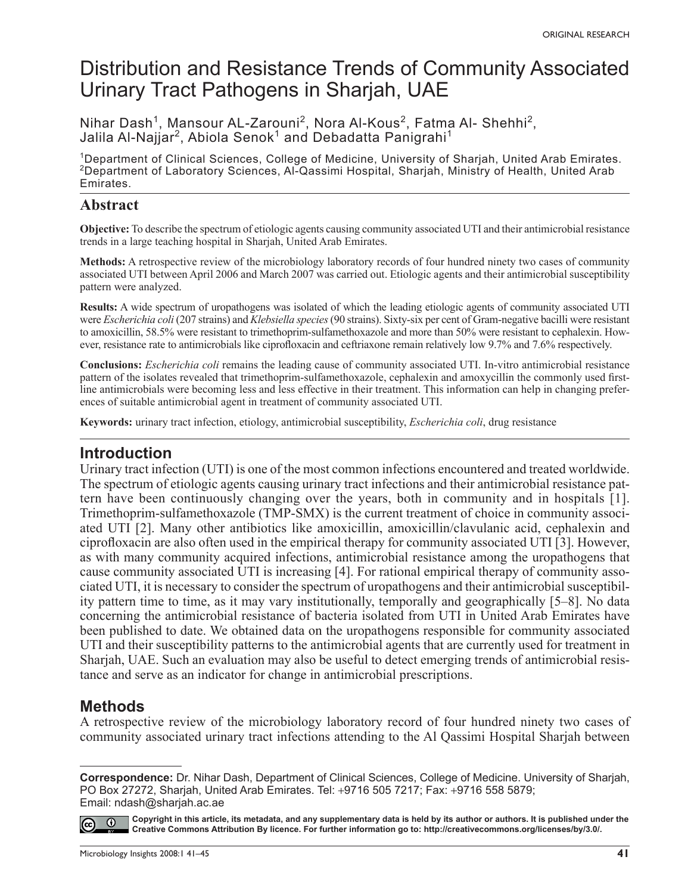# Distribution and Resistance Trends of Community Associated Urinary Tract Pathogens in Sharjah, UAE

Nihar Dash<sup>1</sup>, Mansour AL-Zarouni<sup>2</sup>, Nora Al-Kous<sup>2</sup>, Fatma Al- Shehhi<sup>2</sup>, Jalila Al-Najjar<sup>2</sup>, Abiola Senok $^{\text{1}}$  and Debadatta Panigrahi $^{\text{1}}$ 

<sup>1</sup>Department of Clinical Sciences, College of Medicine, University of Sharjah, United Arab Emirates. <sup>2</sup>Department of Laboratory Sciences, Al-Qassimi Hospital, Sharjah, Ministry of Health, United Arab Emirates.

#### **Abstract**

**Objective:** To describe the spectrum of etiologic agents causing community associated UTI and their antimicrobial resistance trends in a large teaching hospital in Sharjah, United Arab Emirates.

**Methods:** A retrospective review of the microbiology laboratory records of four hundred ninety two cases of community associated UTI between April 2006 and March 2007 was carried out. Etiologic agents and their antimicrobial susceptibility pattern were analyzed.

**Results:** A wide spectrum of uropathogens was isolated of which the leading etiologic agents of community associated UTI were *Escherichia coli* (207 strains) and *Klebsiella species* (90 strains). Sixty-six per cent of Gram-negative bacilli were resistant to amoxicillin, 58.5% were resistant to trimethoprim-sulfamethoxazole and more than 50% were resistant to cephalexin. However, resistance rate to antimicrobials like ciprofloxacin and ceftriaxone remain relatively low 9.7% and 7.6% respectively.

**Conclusions:** *Escherichia coli* remains the leading cause of community associated UTI. In-vitro antimicrobial resistance pattern of the isolates revealed that trimethoprim-sulfamethoxazole, cephalexin and amoxycillin the commonly used firstline antimicrobials were becoming less and less effective in their treatment. This information can help in changing preferences of suitable antimicrobial agent in treatment of community associated UTI.

**Keywords:** urinary tract infection, etiology, antimicrobial susceptibility, *Escherichia coli*, drug resistance

### **Introduction**

Urinary tract infection (UTI) is one of the most common infections encountered and treated worldwide. The spectrum of etiologic agents causing urinary tract infections and their antimicrobial resistance pattern have been continuously changing over the years, both in community and in hospitals [1]. Trimethoprim-sulfamethoxazole (TMP-SMX) is the current treatment of choice in community associated UTI [2]. Many other antibiotics like amoxicillin, amoxicillin/clavulanic acid, cephalexin and ciprofloxacin are also often used in the empirical therapy for community associated UTI [3]. However, as with many community acquired infections, antimicrobial resistance among the uropathogens that cause community associated UTI is increasing [4]. For rational empirical therapy of community associated UTI, it is necessary to consider the spectrum of uropathogens and their antimicrobial susceptibility pattern time to time, as it may vary institutionally, temporally and geographically [5–8]. No data concerning the antimicrobial resistance of bacteria isolated from UTI in United Arab Emirates have been published to date. We obtained data on the uropathogens responsible for community associated UTI and their susceptibility patterns to the antimicrobial agents that are currently used for treatment in Sharjah, UAE. Such an evaluation may also be useful to detect emerging trends of antimicrobial resistance and serve as an indicator for change in antimicrobial prescriptions.

### **Methods**

A retrospective review of the microbiology laboratory record of four hundred ninety two cases of community associated urinary tract infections attending to the Al Qassimi Hospital Sharjah between

**Correspondence:** Dr. Nihar Dash, Department of Clinical Sciences, College of Medicine. University of Sharjah, PO Box 27272, Sharjah, United Arab Emirates. Tel: +9716 505 7217; Fax: +9716 558 5879; Email: ndash@sharjah.ac.ae



**Copyright in this article, its metadata, and any supplementary data is held by its author or authors. It is published under the Creative Commons Attribution By licence. For further information go to: http://creativecommons.org/licenses/by/3.0/.**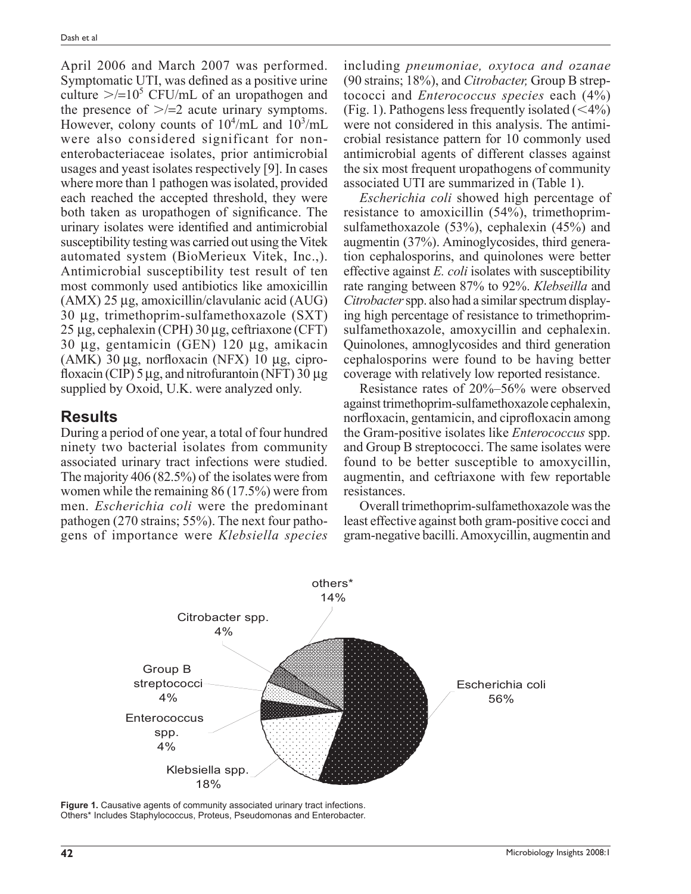April 2006 and March 2007 was performed. Symptomatic UTI, was defined as a positive urine culture  $\ge$ /=10<sup>5</sup> CFU/mL of an uropathogen and the presence of  $\geq$  = 2 acute urinary symptoms. However, colony counts of  $10^4/\text{mL}$  and  $10^3/\text{mL}$ were also considered significant for nonenterobacteriaceae isolates, prior antimicrobial usages and yeast isolates respectively [9]. In cases where more than 1 pathogen was isolated, provided each reached the accepted threshold, they were both taken as uropathogen of significance. The urinary isolates were identified and antimicrobial susceptibility testing was carried out using the Vitek automated system (BioMerieux Vitek, Inc.,). Antimicrobial susceptibility test result of ten most commonly used antibiotics like amoxicillin (AMX) 25 µg, amoxicillin/clavulanic acid (AUG) 30 µg, trimethoprim-sulfamethoxazole (SXT) 25 µg, cephalexin (CPH) 30 µg, ceftriaxone (CFT) 30 µg, gentamicin (GEN) 120 µg, amikacin (AMK) 30  $\mu$ g, norfloxacin (NFX) 10  $\mu$ g, ciprofloxacin (CIP) 5  $\mu$ g, and nitrofurantoin (NFT) 30  $\mu$ g supplied by Oxoid, U.K. were analyzed only.

# **Results**

During a period of one year, a total of four hundred ninety two bacterial isolates from community associated urinary tract infections were studied. The majority 406 (82.5%) of the isolates were from women while the remaining 86 (17.5%) were from men. *Escherichia coli* were the predominant pathogen (270 strains; 55%). The next four pathogens of importance were *Klebsiella species*

including *pneumoniae, oxytoca and ozanae* (90 strains; 18%), and *Citrobacter,* Group B streptococci and *Enterococcus species* each (4%) (Fig. 1). Pathogens less frequently isolated  $(<\!\!4\!\%$ ) were not considered in this analysis. The antimicrobial resistance pattern for 10 commonly used antimicrobial agents of different classes against the six most frequent uropathogens of community associated UTI are summarized in (Table 1).

*Escherichia coli* showed high percentage of resistance to amoxicillin (54%), trimethoprimsulfamethoxazole (53%), cephalexin (45%) and augmentin (37%). Aminoglycosides, third generation cephalosporins, and quinolones were better effective against *E. coli* isolates with susceptibility rate ranging between 87% to 92%. *Klebseilla* and *Citrobacter* spp. also had a similar spectrum displaying high percentage of resistance to trimethoprimsulfamethoxazole, amoxycillin and cephalexin. Quinolones, amnoglycosides and third generation cephalosporins were found to be having better coverage with relatively low reported resistance.

Resistance rates of 20%–56% were observed against trimethoprim-sulfamethoxazole cephalexin, norfloxacin, gentamicin, and ciprofloxacin among the Gram-positive isolates like *Enterococcus* spp. and Group B streptococci. The same isolates were found to be better susceptible to amoxycillin, augmentin, and ceftriaxone with few reportable resistances.

Overall trimethoprim-sulfamethoxazole was the least effective against both gram-positive cocci and gram-negative bacilli. Amoxycillin, augmentin and



**Figure 1.** Causative agents of community associated urinary tract infections. Others\* Includes Staphylococcus, Proteus, Pseudomonas and Enterobacter.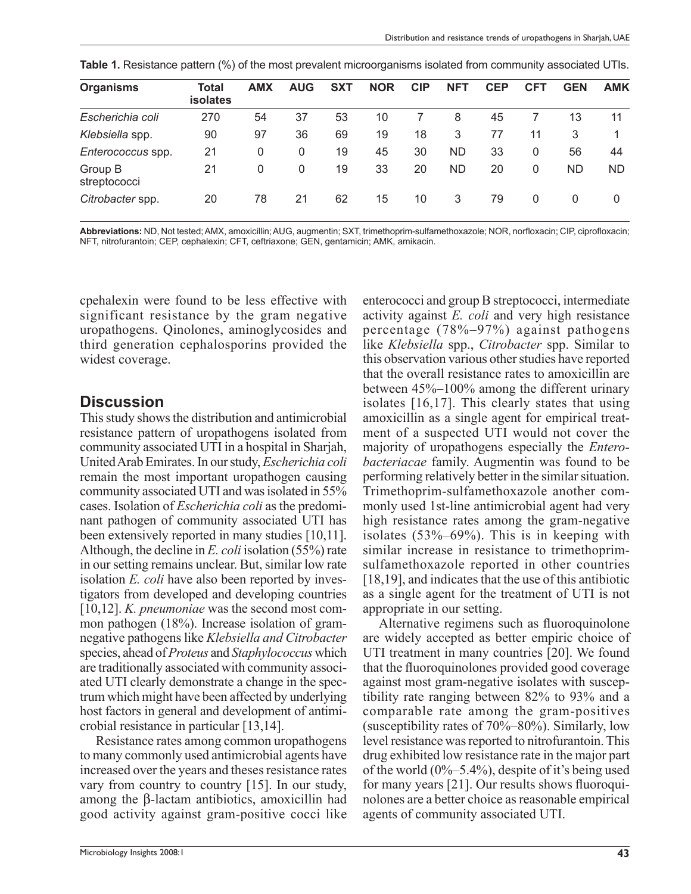| <b>Organisms</b>        | Total<br><b>isolates</b> | <b>AMX</b> | <b>AUG</b> | <b>SXT</b> | <b>NOR</b> | <b>CIP</b> | <b>NFT</b> | <b>CEP</b> | <b>CFT</b> | <b>GEN</b> | AMK |
|-------------------------|--------------------------|------------|------------|------------|------------|------------|------------|------------|------------|------------|-----|
| Escherichia coli        | 270                      | 54         | 37         | 53         | 10         |            | 8          | 45         |            | 13         | 11  |
| Klebsiella spp.         | 90                       | 97         | 36         | 69         | 19         | 18         | 3          | 77         | 11         | 3          |     |
| Enterococcus spp.       | 21                       | 0          | 0          | 19         | 45         | 30         | <b>ND</b>  | 33         | 0          | 56         | 44  |
| Group B<br>streptococci | 21                       | 0          | 0          | 19         | 33         | 20         | ND         | 20         | 0          | ND         | ND. |
| Citrobacter spp.        | 20                       | 78         | 21         | 62         | 15         | 10         | 3          | 79         | 0          | 0          | 0   |

**Table 1.** Resistance pattern (%) of the most prevalent microorganisms isolated from community associated UTIs.

Abbreviations: ND, Not tested; AMX, amoxicillin; AUG, augmentin; SXT, trimethoprim-sulfamethoxazole; NOR, norfloxacin; CIP, ciprofloxacin; NFT, nitrofurantoin; CEP, cephalexin; CFT, ceftriaxone; GEN, gentamicin; AMK, amikacin.

cpehalexin were found to be less effective with significant resistance by the gram negative uropathogens. Qinolones, aminoglycosides and third generation cephalosporins provided the widest coverage.

### **Discussion**

This study shows the distribution and antimicrobial resistance pattern of uropathogens isolated from community associated UTI in a hospital in Sharjah, United Arab Emirates. In our study, *Escherichia coli* remain the most important uropathogen causing community associated UTI and was isolated in 55% cases. Isolation of *Escherichia coli* as the predominant pathogen of community associated UTI has been extensively reported in many studies [10,11]. Although, the decline in *E. coli* isolation (55%) rate in our setting remains unclear. But, similar low rate isolation *E. coli* have also been reported by investigators from developed and developing countries [10,12]. *K. pneumoniae* was the second most common pathogen (18%). Increase isolation of gramnegative pathogens like *Klebsiella and Citrobacter* species, ahead of *Proteus* and *Staphylococcus* which are traditionally associated with community associated UTI clearly demonstrate a change in the spectrum which might have been affected by underlying host factors in general and development of antimicrobial resistance in particular [13,14].

Resistance rates among common uropathogens to many commonly used antimicrobial agents have increased over the years and theses resistance rates vary from country to country [15]. In our study, among the β-lactam antibiotics, amoxicillin had good activity against gram-positive cocci like

Microbiology Insights 2008:1

enterococci and group B streptococci, intermediate activity against *E. coli* and very high resistance percentage (78%–97%) against pathogens like *Klebsiella* spp., *Citrobacter* spp. Similar to this observation various other studies have reported that the overall resistance rates to amoxicillin are between 45%–100% among the different urinary isolates [16,17]. This clearly states that using amoxicillin as a single agent for empirical treatment of a suspected UTI would not cover the majority of uropathogens especially the *Enterobacteriacae* family. Augmentin was found to be performing relatively better in the similar situation. Trimethoprim-sulfamethoxazole another commonly used 1st-line antimicrobial agent had very high resistance rates among the gram-negative isolates (53%–69%). This is in keeping with similar increase in resistance to trimethoprimsulfamethoxazole reported in other countries [18,19], and indicates that the use of this antibiotic as a single agent for the treatment of UTI is not appropriate in our setting.

Alternative regimens such as fluoroquinolone are widely accepted as better empiric choice of UTI treatment in many countries [20]. We found that the fluoroquinolones provided good coverage against most gram-negative isolates with susceptibility rate ranging between 82% to 93% and a comparable rate among the gram-positives (susceptibility rates of 70%–80%). Similarly, low level resistance was reported to nitrofurantoin. This drug exhibited low resistance rate in the major part of the world  $(0\%-5.4\%)$ , despite of it's being used for many years [21]. Our results shows fluoroquinolones are a better choice as reasonable empirical agents of community associated UTI.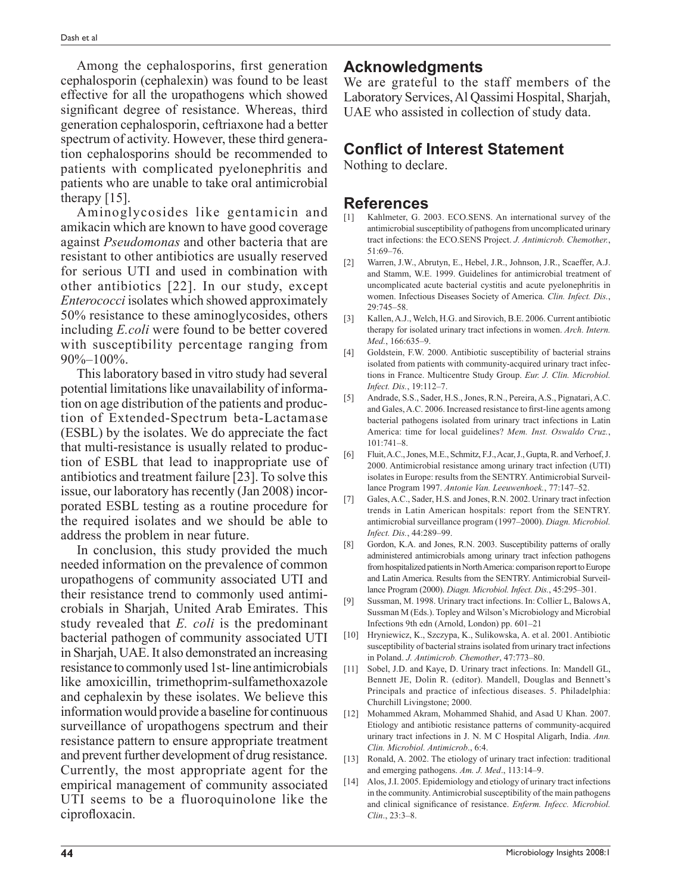Among the cephalosporins, first generation cephalosporin (cephalexin) was found to be least effective for all the uropathogens which showed significant degree of resistance. Whereas, third generation cephalosporin, ceftriaxone had a better spectrum of activity. However, these third generation cephalosporins should be recommended to patients with complicated pyelonephritis and patients who are unable to take oral antimicrobial therapy [15].

Aminoglycosides like gentamicin and amikacin which are known to have good coverage against *Pseudomonas* and other bacteria that are resistant to other antibiotics are usually reserved for serious UTI and used in combination with other antibiotics [22]. In our study, except *Enterococci* isolates which showed approximately 50% resistance to these aminoglycosides, others including *E.coli* were found to be better covered with susceptibility percentage ranging from  $90\% - 100\%$ .

This laboratory based in vitro study had several potential limitations like unavailability of information on age distribution of the patients and production of Extended-Spectrum beta-Lactamase (ESBL) by the isolates. We do appreciate the fact that multi-resistance is usually related to production of ESBL that lead to inappropriate use of antibiotics and treatment failure [23]. To solve this issue, our laboratory has recently (Jan 2008) incorporated ESBL testing as a routine procedure for the required isolates and we should be able to address the problem in near future.

In conclusion, this study provided the much needed information on the prevalence of common uropathogens of community associated UTI and their resistance trend to commonly used antimicrobials in Sharjah, United Arab Emirates. This study revealed that *E. coli* is the predominant bacterial pathogen of community associated UTI in Sharjah, UAE. It also demonstrated an increasing resistance to commonly used 1st- line antimicrobials like amoxicillin, trimethoprim-sulfamethoxazole and cephalexin by these isolates. We believe this information would provide a baseline for continuous surveillance of uropathogens spectrum and their resistance pattern to ensure appropriate treatment and prevent further development of drug resistance. Currently, the most appropriate agent for the empirical management of community associated UTI seems to be a fluoroquinolone like the ciprofloxacin.

### **Acknowledgments**

We are grateful to the staff members of the Laboratory Services, Al Qassimi Hospital, Sharjah, UAE who assisted in collection of study data.

## **Conflict of Interest Statement**

Nothing to declare.

#### **References**

- Kahlmeter, G. 2003. ECO.SENS. An international survey of the antimicrobial susceptibility of pathogens from uncomplicated urinary tract infections: the ECO.SENS Project. *J. Antimicrob. Chemother.*, 51:69–76.
- [2] Warren, J.W., Abrutyn, E., Hebel, J.R., Johnson, J.R., Scaeffer, A.J. and Stamm, W.E. 1999. Guidelines for antimicrobial treatment of uncomplicated acute bacterial cystitis and acute pyelonephritis in women. Infectious Diseases Society of America. *Clin. Infect. Dis.*, 29:745–58.
- [3] Kallen, A.J., Welch, H.G. and Sirovich, B.E. 2006. Current antibiotic therapy for isolated urinary tract infections in women. *Arch. Intern. Med.*, 166:635–9.
- [4] Goldstein, F.W. 2000. Antibiotic susceptibility of bacterial strains isolated from patients with community-acquired urinary tract infections in France. Multicentre Study Group. *Eur. J. Clin. Microbiol. Infect. Dis.*, 19:112–7.
- [5] Andrade, S.S., Sader, H.S., Jones, R.N., Pereira, A.S., Pignatari, A.C. and Gales, A.C. 2006. Increased resistance to first-line agents among bacterial pathogens isolated from urinary tract infections in Latin America: time for local guidelines? *Mem. Inst. Oswaldo Cruz.*, 101:741–8.
- [6] Fluit, A.C., Jones, M.E., Schmitz, F.J., Acar, J., Gupta, R. and Verhoef, J. 2000. Antimicrobial resistance among urinary tract infection (UTI) isolates in Europe: results from the SENTRY. Antimicrobial Surveillance Program 1997. *Antonie Van. Leeuwenhoek.*, 77:147–52.
- [7] Gales, A.C., Sader, H.S. and Jones, R.N. 2002. Urinary tract infection trends in Latin American hospitals: report from the SENTRY. antimicrobial surveillance program (1997–2000). *Diagn. Microbiol. Infect. Dis.*, 44:289–99.
- [8] Gordon, K.A. and Jones, R.N. 2003. Susceptibility patterns of orally administered antimicrobials among urinary tract infection pathogens from hospitalized patients in North America: comparison report to Europe and Latin America. Results from the SENTRY. Antimicrobial Surveillance Program (2000). *Diagn. Microbiol. Infect. Dis.*, 45:295–301.
- [9] Sussman, M. 1998. Urinary tract infections. In: Collier L, Balows A, Sussman M (Eds.). Topley and Wilson's Microbiology and Microbial Infections 9th edn (Arnold, London) pp. 601–21
- [10] Hryniewicz, K., Szczypa, K., Sulikowska, A. et al. 2001. Antibiotic susceptibility of bacterial strains isolated from urinary tract infections in Poland. *J. Antimicrob. Chemother*, 47:773–80.
- [11] Sobel, J.D. and Kaye, D. Urinary tract infections. In: Mandell GL, Bennett JE, Dolin R. (editor). Mandell, Douglas and Bennett's Principals and practice of infectious diseases. 5. Philadelphia: Churchill Livingstone; 2000.
- [12] Mohammed Akram, Mohammed Shahid, and Asad U Khan. 2007. Etiology and antibiotic resistance patterns of community-acquired urinary tract infections in J. N. M C Hospital Aligarh, India. *Ann. Clin. Microbiol. Antimicrob*., 6:4.
- [13] Ronald, A. 2002. The etiology of urinary tract infection: traditional and emerging pathogens. *Am. J. Med*., 113:14–9.
- [14] Alos, J.I. 2005. Epidemiology and etiology of urinary tract infections in the community. Antimicrobial susceptibility of the main pathogens and clinical significance of resistance. *Enferm. Infecc. Microbiol. Clin*., 23:3–8.